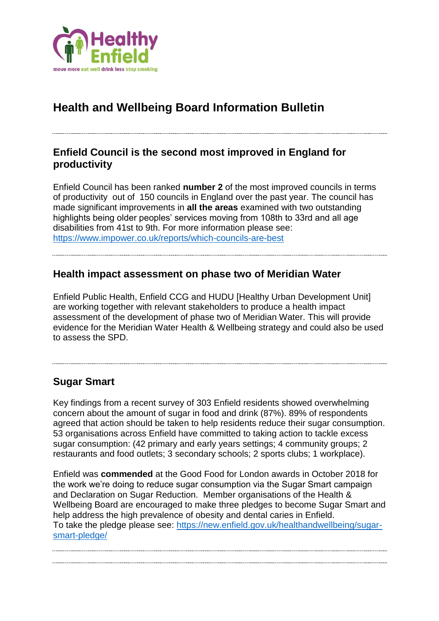

# **Health and Wellbeing Board Information Bulletin**

#### **Enfield Council is the second most improved in England for productivity**

Enfield Council has been ranked **number 2** of the most improved councils in terms of productivity out of 150 councils in England over the past year. The council has made significant improvements in **all the areas** examined with two outstanding highlights being older peoples' services moving from 108th to 33rd and all age disabilities from 41st to 9th. For more information please see: <https://www.impower.co.uk/reports/which-councils-are-best>

#### **Health impact assessment on phase two of Meridian Water**

Enfield Public Health, Enfield CCG and HUDU [Healthy Urban Development Unit] are working together with relevant stakeholders to produce a health impact assessment of the development of phase two of Meridian Water. This will provide evidence for the Meridian Water Health & Wellbeing strategy and could also be used to assess the SPD.

#### **Sugar Smart**

Key findings from a recent survey of 303 Enfield residents showed overwhelming concern about the amount of sugar in food and drink (87%). 89% of respondents agreed that action should be taken to help residents reduce their sugar consumption. 53 organisations across Enfield have committed to taking action to tackle excess sugar consumption: (42 primary and early years settings; 4 community groups; 2 restaurants and food outlets; 3 secondary schools; 2 sports clubs; 1 workplace).

Enfield was **commended** at the Good Food for London awards in October 2018 for the work we're doing to reduce sugar consumption via the Sugar Smart campaign and Declaration on Sugar Reduction. Member organisations of the Health & Wellbeing Board are encouraged to make three pledges to become Sugar Smart and help address the high prevalence of obesity and dental caries in Enfield. To take the pledge please see: [https://new.enfield.gov.uk/healthandwellbeing/sugar](https://new.enfield.gov.uk/healthandwellbeing/sugar-smart-pledge/)[smart-pledge/](https://new.enfield.gov.uk/healthandwellbeing/sugar-smart-pledge/)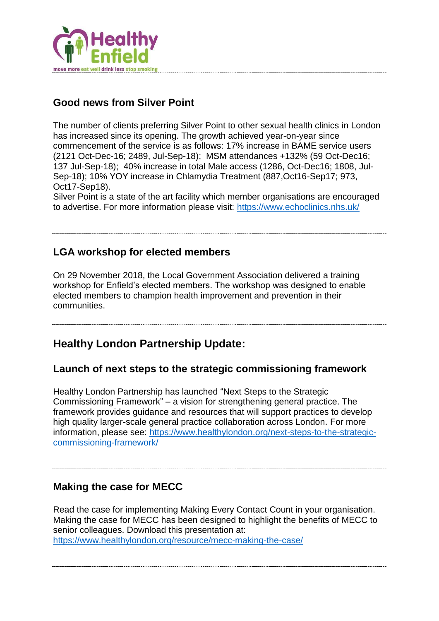

### **Good news from Silver Point**

The number of clients preferring Silver Point to other sexual health clinics in London has increased since its opening. The growth achieved year-on-year since commencement of the service is as follows: 17% increase in BAME service users (2121 Oct-Dec-16; 2489, Jul-Sep-18); MSM attendances +132% (59 Oct-Dec16; 137 Jul-Sep-18); 40% increase in total Male access (1286, Oct-Dec16; 1808, Jul-Sep-18); 10% YOY increase in Chlamydia Treatment (887,Oct16-Sep17; 973, Oct17-Sep18).

Silver Point is a state of the art facility which member organisations are encouraged to advertise. For more information please visit:<https://www.echoclinics.nhs.uk/>

#### **LGA workshop for elected members**

On 29 November 2018, the Local Government Association delivered a training workshop for Enfield's elected members. The workshop was designed to enable elected members to champion health improvement and prevention in their communities.

# **Healthy London Partnership Update:**

#### **Launch of next steps to the strategic commissioning framework**

Healthy London Partnership has launched "Next Steps to the Strategic Commissioning Framework" – a vision for strengthening general practice. The framework provides guidance and resources that will support practices to develop high quality larger-scale general practice collaboration across London. For more information, please see: [https://www.healthylondon.org/next-steps-to-the-strategic](https://www.healthylondon.org/next-steps-to-the-strategic-commissioning-framework/)[commissioning-framework/](https://www.healthylondon.org/next-steps-to-the-strategic-commissioning-framework/)

#### **Making the case for MECC**

Read the case for implementing Making Every Contact Count in your organisation. Making the case for MECC has been designed to highlight the benefits of MECC to senior colleagues. Download this presentation at: <https://www.healthylondon.org/resource/mecc-making-the-case/>